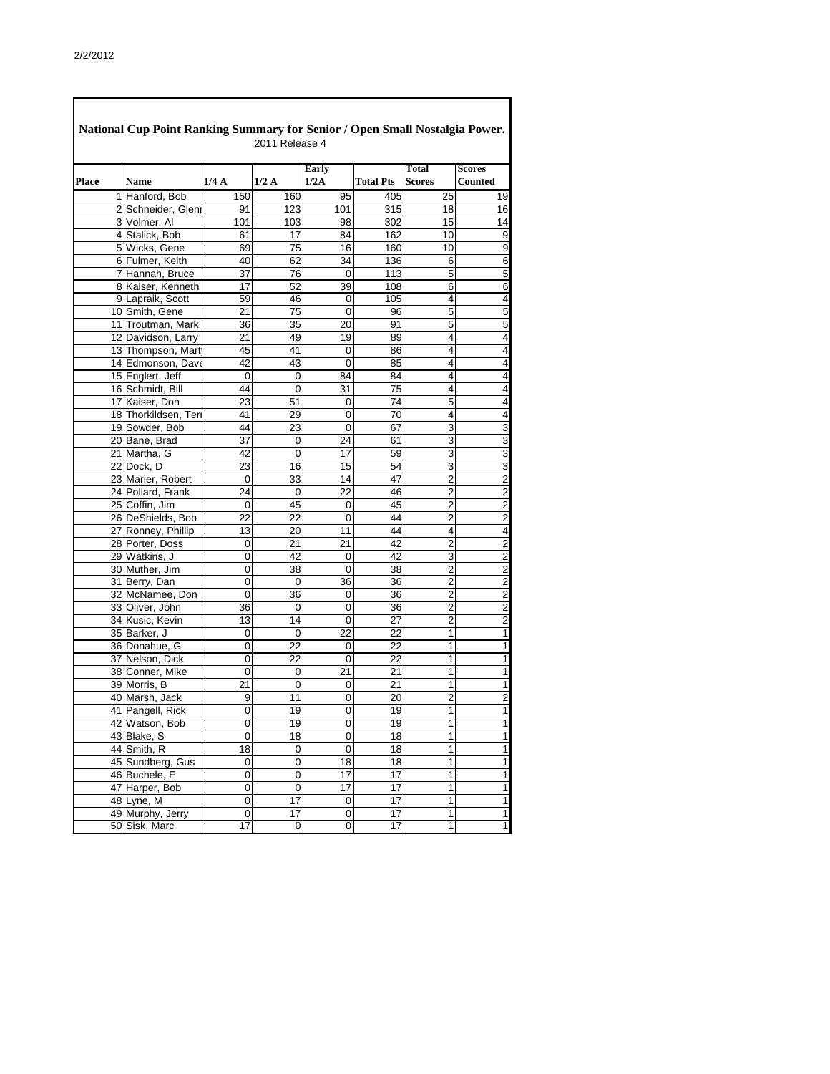|              | National Cup Point Ranking Summary for Senior / Open Small Nostalgia Power. |                         | 2011 Release 4   |                      |                  |                               |                                            |
|--------------|-----------------------------------------------------------------------------|-------------------------|------------------|----------------------|------------------|-------------------------------|--------------------------------------------|
| <b>Place</b> | <b>Name</b>                                                                 | 1/4A                    | 1/2A             | <b>Early</b><br>1/2A | <b>Total Pts</b> | <b>Total</b><br><b>Scores</b> | <b>Scores</b><br><b>Counted</b>            |
|              | 1 Hanford, Bob                                                              | 150                     | 160              | 95                   | 405              | 25                            | 19                                         |
|              | 2 Schneider, Glenr                                                          | 91                      | 123              | 101                  | 315              | 18                            | $\overline{16}$                            |
|              | 3 Volmer, Al                                                                | 101                     | 103              | 98                   | 302              | 15                            | $\overline{14}$                            |
|              | 4 Stalick, Bob                                                              | 61                      | 17               | 84                   | 162              | 10                            | $\overline{9}$                             |
|              | 5 Wicks, Gene                                                               | 69                      | 75               | 16                   | 160              | 10                            | $\overline{9}$                             |
|              | 6 Fulmer, Keith                                                             | 40                      | 62               | 34                   | 136              | 6                             | 6                                          |
|              | 7 Hannah, Bruce                                                             | 37                      | $\overline{76}$  | 0                    | 113              | $\overline{5}$                | $\overline{5}$                             |
|              | 8 Kaiser, Kenneth                                                           | 17                      | $\overline{52}$  | 39                   | 108              | $\overline{6}$                | $\overline{6}$                             |
|              | 9 Lapraik, Scott                                                            | 59                      | 46               | 0                    | 105              | 4                             | $\overline{\mathbf{A}}$                    |
|              | 10 Smith, Gene                                                              | 21                      | 75               | 0                    | 96               | 5                             | 5                                          |
|              | 11 Troutman, Mark                                                           | 36                      | 35               | 20                   | 91               | $\overline{5}$                | $\overline{5}$                             |
|              | 12 Davidson, Larry                                                          | 21                      | 49               | 19                   | 89               | 4                             | $\overline{4}$                             |
|              | 13 Thompson, Mart                                                           | 45                      | 41               | $\mathbf 0$          | 86               | 4                             | $\overline{4}$                             |
|              | 14 Edmonson, Dave                                                           | 42                      | 43               | $\mathbf 0$          | 85               | 4                             | $\overline{\mathbf{4}}$                    |
|              | 15 Englert, Jeff                                                            | 0                       | 0                | 84                   | 84               | 4                             | 4                                          |
|              | 16 Schmidt, Bill                                                            | 44                      | 0                | $\overline{31}$      | 75               | 4                             | $\overline{\mathbf{4}}$                    |
|              | 17 Kaiser, Don                                                              | 23                      | 51               | 0                    | 74               | 5                             | 4                                          |
|              | 18 Thorkildsen, Teri                                                        | 41                      | 29               | 0                    | 70               | 4                             | 4                                          |
|              | 19 Sowder, Bob                                                              | 44                      | 23               | $\mathbf 0$          | 67               | $\overline{3}$                | $\overline{3}$                             |
|              | 20 Bane, Brad                                                               | 37                      | 0                | 24                   | 61               | 3                             | $\overline{3}$                             |
|              | 21 Martha, G                                                                | 42                      | $\mathbf 0$      | 17                   | 59               | 3                             | $\overline{3}$                             |
|              | 22 Dock, D                                                                  | 23                      | $\overline{16}$  | 15                   | 54               | $\overline{3}$                | $\overline{3}$                             |
|              | 23 Marier, Robert                                                           | 0                       | 33               | 14                   | 47               | $\overline{2}$                | $\overline{2}$                             |
|              | 24 Pollard, Frank                                                           | 24                      | 0                | 22                   | 46               | $\overline{2}$                | ש ט                                        |
|              | 25 Coffin, Jim                                                              | 0                       | 45               | $\mathbf 0$          | 45               | $\overline{2}$                |                                            |
|              | 26 DeShields, Bob                                                           | 22                      | 22               | 0                    | 44               | $\overline{2}$                |                                            |
|              | 27 Ronney, Phillip                                                          | 13                      | 20               | 11                   | 44               | 4                             | $\overline{\mathbf{4}}$                    |
|              | 28 Porter, Doss                                                             | 0                       | 21               | 21                   | 42               | $\overline{c}$                | $\overline{2}$                             |
|              | 29 Watkins, J                                                               | $\overline{\mathsf{o}}$ | $\overline{42}$  | $\overline{0}$       | $\overline{42}$  | ω                             | $\overline{2}$                             |
|              | 30 Muther, Jim                                                              | 0                       | $\overline{38}$  | $\overline{0}$       | 38               | $\overline{2}$                | $\overline{2}$                             |
|              | 31 Berry, Dan                                                               | 0                       | 0                | 36                   | 36               | $\overline{2}$                | $\overline{2}$                             |
|              | 32 McNamee, Don                                                             | 0                       | 36               | 0                    | 36               | $\overline{2}$                | ט ט                                        |
|              | 33 Oliver, John                                                             | $\overline{36}$         | $\mathbf 0$      | 0                    | $\overline{36}$  | $\overline{2}$                |                                            |
|              | 34 Kusic, Kevin                                                             | 13                      | 14               | $\mathbf 0$          | 27               | $\overline{2}$                |                                            |
|              | 35 Barker, J                                                                | 0                       | $\boldsymbol{0}$ | $\overline{22}$      | 22               | $\overline{1}$                | $\overline{1}$                             |
|              | 36 Donahue, G                                                               | 0                       | $\overline{22}$  | 0                    | 22               | 1                             | $\overline{1}$                             |
|              | 37 Nelson, Dick                                                             | 0                       | 22               | $\mathbf 0$          | 22               | 1                             | $\mathbf{1}$                               |
|              | 38 Conner, Mike                                                             | $\mathbf 0$             | 0                | 21                   | 21               | 1                             | $\overline{\phantom{0}}$                   |
|              | 39 Morris, B                                                                | 21                      | $\mathbf 0$      | 0                    | 21               | 1                             | $\mathbf 1$                                |
|              | 40 Marsh, Jack                                                              | 9                       | 11               | $\mathbf 0$          | 20               | $\overline{2}$                | $\overline{c}$                             |
|              | 41 Pangell, Rick                                                            | $\overline{0}$          | 19               | $\mathbf 0$          | 19               | $\overline{1}$                | $\overline{1}$                             |
|              | 42 Watson, Bob                                                              | 0                       | 19               | $\mathbf 0$          | 19               | 1                             | $\overline{1}$                             |
|              | 43 Blake, S                                                                 | 0                       | 18               | 0                    | 18               | 1                             | $\mathbf{1}$                               |
|              | 44 Smith, R                                                                 | $\overline{18}$         | $\boldsymbol{0}$ | $\mathbf 0$          | $\overline{18}$  | $\mathbf 1$                   | $\mathbf{1}$                               |
|              | 45 Sundberg, Gus                                                            | 0                       | $\mathbf 0$      | 18                   | 18               | $\mathbf 1$                   | $\overline{1}$                             |
|              | 46 Buchele, E                                                               | 0                       | $\mathbf 0$      | 17                   | $\overline{17}$  | $\mathbf 1$                   | $\overline{1}$                             |
|              | 47 Harper, Bob                                                              | 0                       | $\mathbf 0$      | 17                   | 17               | 1                             | $\mathbf{1}$                               |
|              | 48 Lyne, M                                                                  | 0                       | $\overline{17}$  | 0                    | 17               | $\mathbf{1}$                  | $\overline{\phantom{a}}$                   |
|              | 49 Murphy, Jerry                                                            | $\mathbf 0$             | $\overline{17}$  | $\boldsymbol{0}$     | $\overline{17}$  | $\overline{1}$                | $\overline{1}$<br>$\overline{\phantom{a}}$ |
|              | 50 Sisk, Marc                                                               | 17                      | $\mathbf 0$      | $\mathbf 0$          | 17               | 1                             |                                            |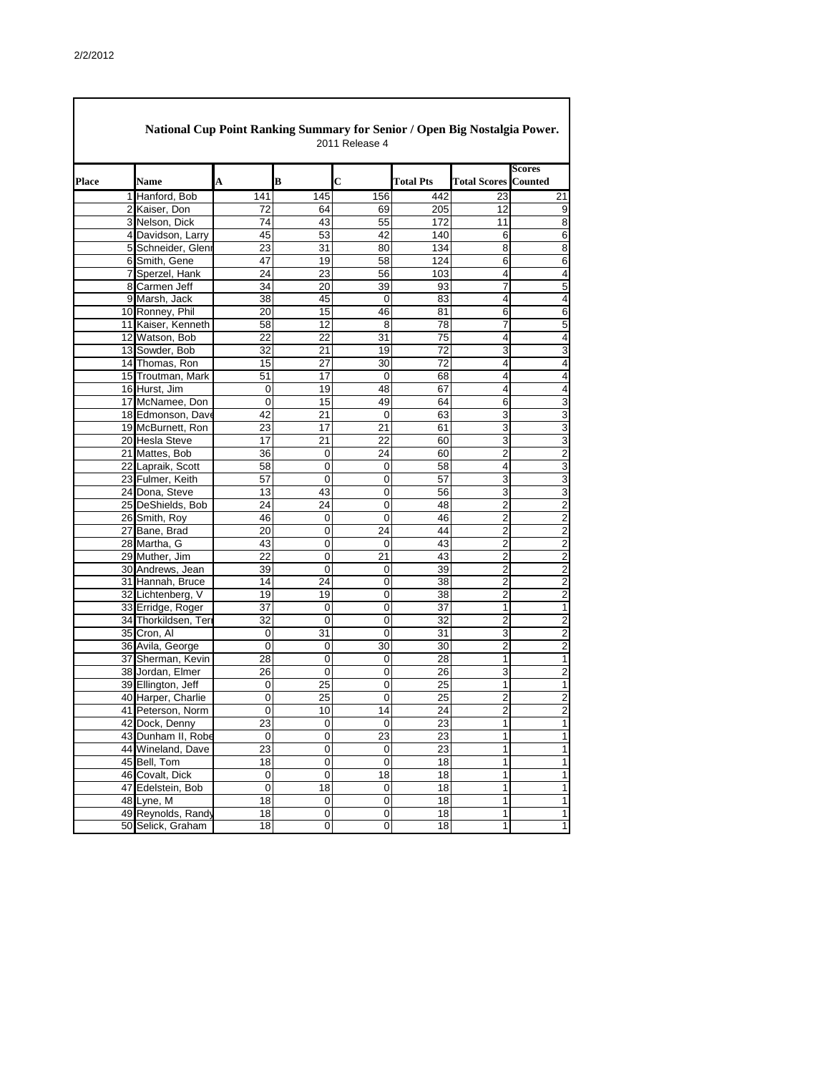| National Cup Point Ranking Summary for Senior / Open Big Nostalgia Power.<br>2011 Release 4 |                     |                  |                  |                         |                  |                     |                          |  |  |  |
|---------------------------------------------------------------------------------------------|---------------------|------------------|------------------|-------------------------|------------------|---------------------|--------------------------|--|--|--|
| Place                                                                                       | <b>Name</b>         | A                | B                | $\overline{\mathbf{C}}$ | <b>Total Pts</b> | <b>Total Scores</b> | Scores<br><b>Counted</b> |  |  |  |
|                                                                                             | 1 Hanford, Bob      | 141              | 145              | 156                     | 442              | 23                  | 21                       |  |  |  |
|                                                                                             | 2 Kaiser, Don       | 72               | 64               | 69                      | 205              | 12                  | 9                        |  |  |  |
|                                                                                             | 3 Nelson, Dick      | 74               | 43               | 55                      | 172              | 11                  | 8                        |  |  |  |
|                                                                                             | 4 Davidson, Larry   | 45               | 53               | 42                      | 140              | 6                   | $\overline{6}$           |  |  |  |
|                                                                                             | 5 Schneider, Gleni  | 23               | 31               | 80                      | 134              | 8                   | 8                        |  |  |  |
|                                                                                             | 6 Smith, Gene       | 47               | 19               | 58                      | 124              | 6                   | $\overline{6}$           |  |  |  |
|                                                                                             | 7 Sperzel, Hank     | 24               | 23               | 56                      | 103              | 4                   | 4                        |  |  |  |
|                                                                                             | 8 Carmen Jeff       | 34               | 20               | 39                      | 93               | 7                   | $\overline{5}$           |  |  |  |
|                                                                                             | 9 Marsh, Jack       | 38               | 45               | $\mathbf 0$             | 83               | 4                   | $\overline{\mathcal{L}}$ |  |  |  |
|                                                                                             | 10 Ronney, Phil     | 20               | 15               | 46                      | 81               | 6                   | 6                        |  |  |  |
|                                                                                             | 11 Kaiser, Kenneth  | 58               | 12               | 8                       | 78               | 7                   | 5                        |  |  |  |
|                                                                                             | 12 Watson, Bob      | 22               | 22               | 31                      | 75               | 4                   | 4                        |  |  |  |
|                                                                                             | 13 Sowder, Bob      | 32               | 21               | 19                      | 72               | 3                   | 3                        |  |  |  |
|                                                                                             | 14 Thomas, Ron      | 15               | 27               | 30                      | 72               | 4                   | 4                        |  |  |  |
|                                                                                             | 15 Troutman, Mark   | 51               | 17               | $\overline{0}$          | 68               | 4                   | 4                        |  |  |  |
|                                                                                             | 16 Hurst, Jim       | 0                | 19               | 48                      | 67               | 4                   | 4                        |  |  |  |
|                                                                                             | 17 McNamee, Don     | 0                | 15               | 49                      | 64               | 6                   | 3                        |  |  |  |
|                                                                                             | 18 Edmonson, Dave   | 42               | 21               | $\overline{0}$          | 63               | 3                   | $\overline{3}$           |  |  |  |
|                                                                                             | 19 McBurnett, Ron   | 23               | 17               | 21                      | 61               | $\overline{3}$      | $\overline{3}$           |  |  |  |
|                                                                                             | 20 Hesla Steve      | 17               | 21               | 22                      | 60               | 3                   | $\overline{3}$           |  |  |  |
|                                                                                             | 21 Mattes, Bob      | 36               | 0                | 24                      | 60               | $\overline{2}$      | $\overline{2}$           |  |  |  |
|                                                                                             | 22 Lapraik, Scott   | 58               | 0                | 0                       | 58               | 4                   | $\overline{3}$           |  |  |  |
|                                                                                             | 23 Fulmer, Keith    | 57               | 0                | $\mathbf 0$             | 57               | 3                   | 3                        |  |  |  |
|                                                                                             | 24 Dona, Steve      | 13               | 43               | 0                       | 56               | 3                   | 3                        |  |  |  |
|                                                                                             | 25 DeShields, Bob   | 24               | 24               | 0                       | 48               | $\overline{2}$      | $\overline{2}$           |  |  |  |
|                                                                                             | 26 Smith, Roy       | 46               | 0                | 0                       | 46               | $\overline{2}$      | $\overline{2}$           |  |  |  |
|                                                                                             | 27 Bane, Brad       | 20               | $\pmb{0}$        | 24                      | 44               | $\overline{c}$      | $\overline{c}$           |  |  |  |
|                                                                                             | 28 Martha, G        | 43               | $\boldsymbol{0}$ | $\mathbf 0$             | 43               | $\overline{c}$      | $\overline{2}$           |  |  |  |
|                                                                                             | 29 Muther, Jim      | 22               | $\mathbf 0$      | 21                      | 43               | $\overline{2}$      | $\overline{2}$           |  |  |  |
|                                                                                             | 30 Andrews, Jean    | 39               | $\overline{0}$   | $\Omega$                | 39               | $\overline{2}$      | $\overline{2}$           |  |  |  |
|                                                                                             | 31 Hannah, Bruce    | 14               | 24               | $\boldsymbol{0}$        | 38               | $\mathbf 2$         | $\overline{2}$           |  |  |  |
|                                                                                             | 32 Lichtenberg, V   | 19               | 19               | $\mathbf 0$             | 38               | $\overline{2}$      | $\overline{2}$           |  |  |  |
|                                                                                             | 33 Erridge, Roger   | 37               | $\mathbf 0$      | $\overline{0}$          | 37               | 1                   | $\mathbf 1$              |  |  |  |
|                                                                                             | 34 Thorkildsen, Ter | $\overline{32}$  | $\mathbf 0$      | $\overline{0}$          | 32               | $\overline{2}$      | $\overline{2}$           |  |  |  |
|                                                                                             | 35 Cron, Al         | $\boldsymbol{0}$ | 31               | $\mathbf 0$             | 31               | $\overline{3}$      | $\overline{2}$           |  |  |  |
|                                                                                             | 36 Avila, George    | $\mathbf 0$      | 0                | 30                      | 30               | $\overline{2}$      | $\overline{2}$           |  |  |  |
|                                                                                             | 37 Sherman, Kevin   | 28               | $\boldsymbol{0}$ | $\mathbf 0$             | 28               | 1                   | $\mathbf 1$              |  |  |  |
|                                                                                             | 38 Jordan, Elmer    | $\overline{26}$  | $\mathbf 0$      | $\mathbf 0$             | 26               | 3                   | $\overline{2}$           |  |  |  |
|                                                                                             | 39 Ellington, Jeff  | $\pmb{0}$        | 25               | $\boldsymbol{0}$        | 25               | 1                   | $\mathbf 1$              |  |  |  |
|                                                                                             | 40 Harper, Charlie  | $\overline{0}$   | $\overline{25}$  | $\overline{0}$          | $\overline{25}$  | $\overline{2}$      | $\overline{2}$           |  |  |  |
|                                                                                             | 41 Peterson, Norm   | $\mathbf 0$      | 10               | 14                      | $\overline{24}$  | $\overline{2}$      | $\overline{2}$           |  |  |  |
|                                                                                             | 42 Dock, Denny      | $\overline{23}$  | $\pmb{0}$        | $\boldsymbol{0}$        | 23               | 1                   | $\overline{1}$           |  |  |  |
|                                                                                             | 43 Dunham II, Robe  | $\mathbf 0$      | $\pmb{0}$        | 23                      | 23               | 1                   | $\mathbf 1$              |  |  |  |
|                                                                                             | 44 Wineland, Dave   | $\overline{23}$  | $\overline{0}$   | $\boldsymbol{0}$        | $\overline{23}$  | 1                   | $\overline{1}$           |  |  |  |
|                                                                                             | 45 Bell, Tom        | 18               | $\mathbf 0$      | $\mathbf 0$             | 18               | 1                   | $\overline{1}$           |  |  |  |
|                                                                                             | 46 Covalt, Dick     | $\mathbf 0$      | $\mathbf 0$      | 18                      | 18               | 1                   | $\overline{1}$           |  |  |  |
|                                                                                             | 47 Edelstein, Bob   | $\mathbf 0$      | 18               | $\boldsymbol{0}$        | 18               | 1                   | $\overline{1}$           |  |  |  |
|                                                                                             | 48 Lyne, M          | $\overline{18}$  | $\boldsymbol{0}$ | $\overline{0}$          | 18               | 1                   | $\mathbf 1$              |  |  |  |
|                                                                                             | 49 Reynolds, Randy  | 18               | $\pmb{0}$        | $\boldsymbol{0}$        | 18               | 1                   | $\mathbf 1$              |  |  |  |
|                                                                                             | 50 Selick, Graham   | 18               | $\mathsf 0$      | $\overline{0}$          | 18               | 1                   | $\mathbf 1$              |  |  |  |
|                                                                                             |                     |                  |                  |                         |                  |                     |                          |  |  |  |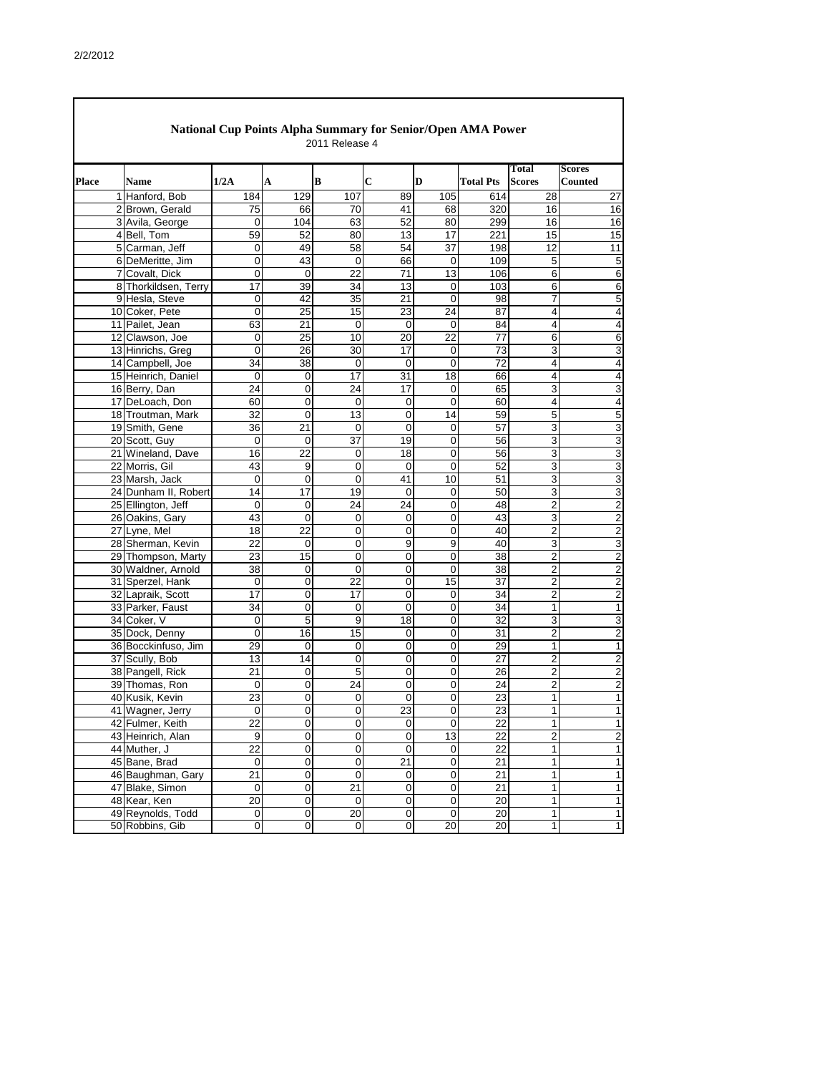| Place | <b>Name</b>                        | 1/2A            | A                                | B                 | $\mathbf C$                | D                                | <b>Total Pts</b> | Total<br><b>Scores</b>  | <b>Scores</b><br><b>Counted</b>  |
|-------|------------------------------------|-----------------|----------------------------------|-------------------|----------------------------|----------------------------------|------------------|-------------------------|----------------------------------|
|       | 1 Hanford, Bob                     | 184             | 129                              | 107               | 89                         | 105                              | 614              | 28                      | 27                               |
|       | 2 Brown, Gerald                    | 75              | 66                               | 70                | 41                         | 68                               | 320              | 16                      | 16                               |
|       | 3 Avila, George                    | 0               | 104                              | 63                | 52                         | 80                               | 299              | 16                      | 16                               |
|       | 4 Bell, Tom                        | 59              | 52                               | 80                | 13                         | $\overline{17}$                  | 221              | 15                      | 15                               |
|       | 5 Carman, Jeff                     | 0               | 49                               | 58                | 54                         | 37                               | 198              | 12                      | 11                               |
|       | 6 DeMeritte, Jim<br>7 Covalt, Dick | 0<br>0          | 43<br>$\mathbf 0$                | $\mathbf 0$<br>22 | 66<br>71                   | $\mathbf 0$<br>13                | 109<br>106       | 5<br>6                  | 5                                |
|       | 8 Thorkildsen, Terry               | 17              | 39                               | 34                | 13                         | $\overline{0}$                   | 103              | 6                       | 6<br>6                           |
|       | 9 Hesla, Steve                     | 0               | 42                               | 35                | 21                         | $\mathbf 0$                      | 98               | $\overline{7}$          | 5                                |
|       | 10 Coker, Pete                     | 0               | 25                               | 15                | 23                         | 24                               | 87               | 4                       | 4                                |
|       | 11 Pailet, Jean                    | 63              | 21                               | 0                 | $\mathbf 0$                | $\overline{0}$                   | 84               | 4                       | 4                                |
|       | 12 Clawson, Joe                    | 0               | 25                               | 10                | 20                         | 22                               | 77               | 6                       | 6                                |
|       | 13 Hinrichs, Greg                  | 0               | 26                               | 30                | 17                         | $\overline{0}$                   | 73               | 3                       | 3                                |
|       | 14 Campbell, Joe                   | 34              | 38                               | $\boldsymbol{0}$  | $\boldsymbol{0}$           | $\overline{0}$                   | $\overline{72}$  | 4                       | 4                                |
|       | 15 Heinrich, Daniel                | 0               | $\overline{0}$                   | 17                | 31                         | 18                               | 66               | 4                       | 4                                |
|       | 16 Berry, Dan                      | 24              | $\mathbf 0$                      | 24                | 17                         | $\overline{0}$                   | 65               | 3                       | 3                                |
|       | 17 DeLoach, Don                    | 60              | $\pmb{0}$                        | 0                 | $\mathbf 0$                | $\mathbf 0$                      | 60               | 4                       | 4                                |
|       | 18 Troutman, Mark                  | 32              | $\mathbf 0$                      | 13                | $\mathbf 0$                | 14                               | 59               | 5                       | 5                                |
|       | 19 Smith, Gene                     | 36              | 21                               | 0                 | $\mathbf 0$                | $\overline{0}$                   | 57               | 3                       | 3                                |
|       | 20 Scott, Guy                      | 0               | $\mathbf 0$                      | 37                | 19                         | $\overline{0}$                   | 56               | 3                       | 3                                |
|       | 21 Wineland, Dave                  | 16              | 22                               | 0                 | 18                         | $\overline{0}$                   | 56               | 3                       | 3                                |
|       | 22 Morris, Gil                     | 43              | $\boldsymbol{9}$                 | 0                 | $\mathbf 0$                | $\mathbf 0$                      | 52               | 3                       | 3                                |
|       | 23 Marsh, Jack                     | 0               | $\mathbf 0$                      | 0                 | 41                         | 10                               | 51               | 3                       | 3                                |
|       | 24 Dunham II, Robert               | 14              | 17                               | 19                | $\mathbf 0$                | $\overline{0}$                   | 50               | 3                       | 3                                |
|       | 25 Ellington, Jeff                 | 0<br>43         | $\pmb{0}$<br>$\overline{0}$      | 24                | 24                         | $\overline{0}$<br>$\overline{0}$ | 48<br>43         | $\overline{\mathbf{c}}$ | $\overline{c}$<br>$\overline{2}$ |
|       | 26 Oakins, Gary<br>27 Lyne, Mel    | 18              | 22                               | 0<br>$\mathsf 0$  | $\mathbf 0$<br>$\mathbf 0$ | $\overline{0}$                   | 40               | 3<br>$\overline{2}$     | $\overline{c}$                   |
|       | 28 Sherman, Kevin                  | 22              | $\pmb{0}$                        | 0                 | 9                          | $\boldsymbol{9}$                 | 40               | 3                       | 3                                |
|       | 29 Thompson, Marty                 | $\overline{23}$ | $\overline{15}$                  | 0                 | $\mathbf 0$                | $\overline{\mathsf{o}}$          | 38               | $\overline{2}$          | $\overline{a}$                   |
|       | 30 Waldner, Arnold                 | 38              | 0                                | 0                 | 0                          | $\overline{0}$                   | 38               | $\mathbf{2}$            | $\overline{2}$                   |
|       | 31 Sperzel, Hank                   | 0               | 0                                | 22                | $\mathbf 0$                | $\overline{15}$                  | 37               | $\overline{2}$          | $\overline{c}$                   |
|       | 32 Lapraik, Scott                  | $\overline{17}$ | $\mathsf{O}\xspace$              | 17                | $\overline{0}$             | $\pmb{0}$                        | 34               | $\overline{2}$          | $\overline{c}$                   |
|       | 33 Parker, Faust                   | 34              | $\mathsf{O}\xspace$              | $\boldsymbol{0}$  | $\mathbf 0$                | $\overline{0}$                   | 34               | 1                       | 1                                |
|       | 34 Coker, V                        | $\mathsf 0$     | 5                                | 9                 | 18                         | $\overline{0}$                   | 32               | 3                       | 3                                |
|       | 35 Dock, Denny                     | $\overline{0}$  | $\overline{16}$                  | $\overline{15}$   | $\mathbf 0$                | $\overline{0}$                   | 31               | $\overline{2}$          | $\overline{a}$                   |
|       | 36 Bocckinfuso, Jim                | $\overline{29}$ | $\pmb{0}$                        | 0                 | 0                          | $\overline{0}$                   | 29               | 1                       | 1                                |
|       | 37 Scully, Bob                     | $\overline{13}$ | 14                               | 0                 | $\boldsymbol{0}$           | $\overline{0}$                   | 27               | $\overline{2}$          | $\overline{c}$                   |
|       | 38 Pangell, Rick                   | $\overline{21}$ | $\pmb{0}$                        | 5                 | $\pmb{0}$                  | $\overline{0}$                   | 26               | $\overline{c}$          | $\overline{c}$                   |
|       | 39 Thomas, Ron                     | 0               | $\overline{0}$                   | 24                | $\pmb{0}$                  | $\overline{0}$                   | 24               | $\overline{\mathbf{c}}$ | $\overline{c}$                   |
|       | 40 Kusik, Kevin                    | $\overline{23}$ | $\overline{0}$                   | $\pmb{0}$         | $\mathbf 0$                | $\overline{0}$                   | 23               | $\mathbf{1}$            | 1                                |
|       | 41 Wagner, Jerry                   | 0               | $\mathsf{O}\xspace$              | 0                 | 23                         | $\overline{0}$                   | 23               | 1                       | 1                                |
|       | 42 Fulmer, Keith                   | $\overline{22}$ | $\overline{0}$                   | 0                 | $\mathbf 0$                | $\mathbf 0$                      | $\overline{22}$  | 1                       | 1                                |
|       | 43 Heinrich, Alan                  | 9               | 0                                | 0                 | $\mathbf 0$                | 13                               | 22               | $\overline{c}$          | $\overline{c}$                   |
|       | 44 Muther, J                       | $\overline{22}$ | 0                                | 0                 | $\mathbf 0$                | $\pmb{0}$                        | 22               | 1                       | 1                                |
|       | 45 Bane, Brad                      | 0               | $\pmb{0}$                        | 0                 | $\overline{21}$            | $\overline{0}$                   | 21               | 1                       | 1                                |
|       | 46 Baughman, Gary                  | 21<br>0         | $\pmb{0}$<br>$\mathsf{O}\xspace$ | 0<br>21           | $\pmb{0}$                  | $\overline{0}$<br>$\overline{0}$ | 21<br>21         | 1<br>1                  | 1                                |
|       | 47 Blake, Simon<br>48 Kear, Ken    | $\overline{20}$ | $\overline{\mathsf{o}}$          | 0                 | 0<br>$\mathbf 0$           | $\overline{0}$                   | 20               | 1                       | 1<br>1                           |
|       | 49 Reynolds, Todd                  | $\overline{0}$  | $\overline{0}$                   | 20                | $\pmb{0}$                  | $\overline{0}$                   | 20               | $\mathbf{1}$            | 1                                |
|       |                                    |                 |                                  |                   |                            |                                  |                  |                         |                                  |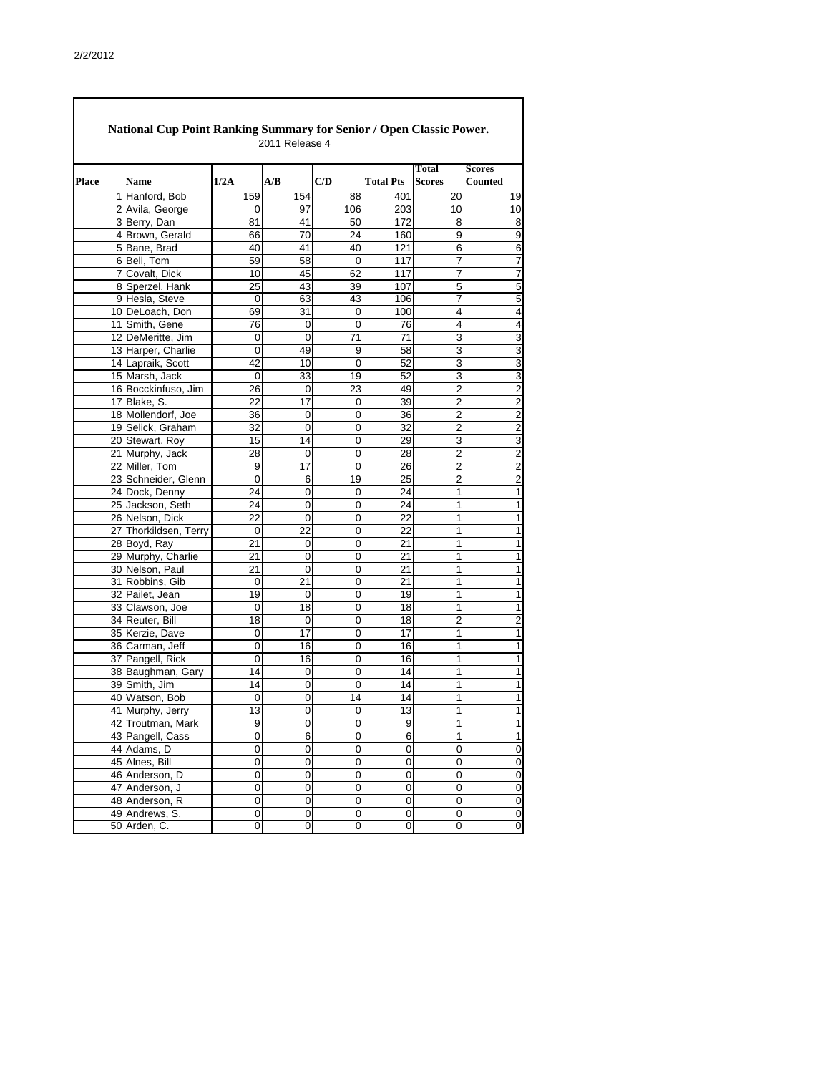|              | <b>National Cup Point Ranking Summary for Senior / Open Classic Power.</b><br>2011 Release 4 |                  |                  |                |                     |                        |                          |  |  |  |  |  |
|--------------|----------------------------------------------------------------------------------------------|------------------|------------------|----------------|---------------------|------------------------|--------------------------|--|--|--|--|--|
| <b>Place</b> | <b>Name</b>                                                                                  | 1/2A             | A/B              | C/D            | <b>Total Pts</b>    | Total<br><b>Scores</b> | <b>Scores</b><br>Counted |  |  |  |  |  |
|              | 1 Hanford, Bob                                                                               | 159              | 154              | 88             | 401                 | 20                     | 19                       |  |  |  |  |  |
|              | 2 Avila, George                                                                              | 0                | 97               | 106            | 203                 | 10                     | 10                       |  |  |  |  |  |
|              | 3 Berry, Dan                                                                                 | 81               | 41               | 50             | 172                 | 8                      | $\infty$                 |  |  |  |  |  |
|              | 4 Brown, Gerald                                                                              | 66               | 70               | 24             | 160                 | 9                      | 9                        |  |  |  |  |  |
|              | 5 Bane, Brad                                                                                 | 40               | 41               | 40             | 121                 | 6                      | $\overline{6}$           |  |  |  |  |  |
|              | 6 Bell, Tom                                                                                  | 59               | 58               | $\mathbf 0$    | 117                 | $\overline{7}$         | $\overline{7}$           |  |  |  |  |  |
|              | 7 Covalt, Dick                                                                               | 10               | 45               | 62             | 117                 | 7                      | $\overline{7}$           |  |  |  |  |  |
|              | 8 Sperzel, Hank                                                                              | 25               | 43               | 39             | 107                 | 5                      | 5                        |  |  |  |  |  |
|              | 9 Hesla, Steve                                                                               | $\boldsymbol{0}$ | 63               | 43             | 106                 | $\overline{7}$         | $\overline{5}$           |  |  |  |  |  |
|              | 10 DeLoach, Don                                                                              | 69               | 31               | 0              | 100                 | 4                      | $\overline{4}$           |  |  |  |  |  |
|              | 11 Smith, Gene                                                                               | $\overline{76}$  | 0                | $\overline{0}$ | 76                  | 4                      | $\overline{\mathbf{A}}$  |  |  |  |  |  |
|              | 12 DeMeritte, Jim                                                                            | 0                | $\mathbf 0$      | 71             | 71                  | 3                      | 3                        |  |  |  |  |  |
|              | 13 Harper, Charlie                                                                           | 0                | 49               | 9              | 58                  | 3                      |                          |  |  |  |  |  |
|              | 14 Lapraik, Scott                                                                            | 42               | 10               | $\overline{0}$ | 52                  | 3                      | سا سا                    |  |  |  |  |  |
|              | 15 Marsh, Jack                                                                               | 0                | 33               | 19             | 52                  | 3                      |                          |  |  |  |  |  |
|              | 16 Bocckinfuso, Jim                                                                          | 26               | 0                | 23             | 49                  | $\overline{2}$         | $\overline{2}$           |  |  |  |  |  |
|              | 17 Blake, S.                                                                                 | 22               | 17               | $\overline{0}$ | 39                  | $\overline{2}$         | $\overline{2}$           |  |  |  |  |  |
|              | 18 Mollendorf, Joe                                                                           | 36               | 0                | 0              | 36                  | $\overline{2}$         | $\overline{2}$           |  |  |  |  |  |
|              | 19 Selick, Graham                                                                            | 32               | $\overline{0}$   | 0              | 32                  | $\overline{2}$         | $\overline{2}$           |  |  |  |  |  |
|              | 20 Stewart, Roy                                                                              | 15               | 14               | $\mathbf 0$    | 29                  | 3                      | $\overline{3}$           |  |  |  |  |  |
|              | 21 Murphy, Jack                                                                              | 28               | 0                | 0              | 28                  | $\overline{2}$         | $\overline{2}$           |  |  |  |  |  |
|              | 22 Miller, Tom                                                                               | 9                | $\overline{17}$  | $\mathbf 0$    | 26                  | $\overline{c}$         | $\overline{2}$           |  |  |  |  |  |
|              | 23 Schneider, Glenn                                                                          | $\mathbf 0$      | 6                | 19             | 25                  | $\overline{2}$         | $\overline{2}$           |  |  |  |  |  |
|              | 24 Dock, Denny                                                                               | 24               | $\overline{0}$   | 0              | 24                  | 1                      | $\overline{\phantom{a}}$ |  |  |  |  |  |
|              | 25 Jackson, Seth                                                                             | 24               | 0                | 0              | 24                  | 1                      | $\mathbf{1}$             |  |  |  |  |  |
|              | 26 Nelson, Dick                                                                              | 22               | 0                | 0              | 22                  | 1                      | $\mathbf{1}$             |  |  |  |  |  |
|              | 27 Thorkildsen, Terry                                                                        | $\mathbf 0$      | 22               | 0              | 22                  | 1                      | 1                        |  |  |  |  |  |
|              | 28 Boyd, Ray                                                                                 | 21               | 0                | 0              | 21                  | 1                      | 1                        |  |  |  |  |  |
|              | 29 Murphy, Charlie                                                                           | $\overline{21}$  | O                | 0              | $\overline{21}$     | 1                      | 1                        |  |  |  |  |  |
|              | 30 Nelson, Paul                                                                              | 21               | $\overline{0}$   | $\overline{0}$ | 21                  | $\mathbf{1}$           | 1                        |  |  |  |  |  |
|              | 31 Robbins, Gib                                                                              | $\mathbf 0$      | 21               | 0              | 21                  |                        | $\mathbf{1}$             |  |  |  |  |  |
|              | 32 Pailet, Jean                                                                              | 19               | 0                | 0              | 19                  | 1                      | $\mathbf{1}$             |  |  |  |  |  |
|              | 33 Clawson, Joe                                                                              | 0                | 18               | 0              | 18                  | 1                      | $\overline{1}$           |  |  |  |  |  |
|              | 34 Reuter, Bill                                                                              | 18               | 0                | 0              | 18                  | $\overline{c}$         | $\overline{c}$           |  |  |  |  |  |
|              | 35 Kerzie, Dave                                                                              | 0                | $\overline{17}$  | 0              | 17                  | 1                      | $\overline{1}$           |  |  |  |  |  |
|              | 36 Carman, Jeff                                                                              | $\mathbf 0$      | 16               | 0              | 16                  | 1                      | $\overline{1}$           |  |  |  |  |  |
|              | 37 Pangell, Rick                                                                             | 0                | 16               | 0              | 16                  | 1                      | $\overline{1}$           |  |  |  |  |  |
|              | 38 Baughman, Gary                                                                            | $\overline{14}$  | $\boldsymbol{0}$ | $\mathbf 0$    | 14                  | 1                      | 1                        |  |  |  |  |  |
|              | 39 Smith, Jim                                                                                | 14               | 0                | $\mathbf 0$    | 14                  | 1                      | 1                        |  |  |  |  |  |
|              | 40 Watson, Bob                                                                               | $\boldsymbol{0}$ | $\mathbf 0$      | 14             | 14                  | 1                      | $\mathbf{1}$             |  |  |  |  |  |
|              | 41 Murphy, Jerry                                                                             | $\overline{13}$  | $\mathbf 0$      | 0              | 13                  | 1                      | $\overline{\phantom{a}}$ |  |  |  |  |  |
|              | 42 Troutman, Mark                                                                            | $\boldsymbol{9}$ | $\mathbf 0$      | 0              | $\boldsymbol{9}$    | 1                      | $\overline{1}$           |  |  |  |  |  |
|              | 43 Pangell, Cass                                                                             | 0                | 6                | 0              | 6                   | 1                      | $\overline{1}$           |  |  |  |  |  |
|              | 44 Adams, D                                                                                  | 0                | 0                | $\mathbf 0$    | $\mathbf 0$         | $\mathbf 0$            | $\overline{0}$           |  |  |  |  |  |
|              | 45 Alnes, Bill                                                                               | 0                | $\mathbf 0$      | 0              | 0                   | $\mathbf 0$            | $\overline{0}$           |  |  |  |  |  |
|              | 46 Anderson, D                                                                               | 0                | 0                | 0              | $\pmb{0}$           | $\mathbf 0$            | $\overline{0}$           |  |  |  |  |  |
|              | 47 Anderson, J                                                                               | 0                | 0                | 0              | $\mathbf 0$         | $\pmb{0}$              | $\overline{0}$           |  |  |  |  |  |
|              | 48 Anderson, R                                                                               | 0                | $\mathbf 0$      | 0              | $\boldsymbol{0}$    | $\boldsymbol{0}$       | $\overline{0}$           |  |  |  |  |  |
|              | 49 Andrews, S.                                                                               | $\overline{0}$   | $\mathbf 0$      | 0              | $\pmb{0}$           | $\pmb{0}$              | $\overline{0}$           |  |  |  |  |  |
|              | 50 Arden, C.                                                                                 | $\overline{0}$   | $\mathbf 0$      | 0              | $\mathsf{O}\xspace$ | 0                      | $\overline{0}$           |  |  |  |  |  |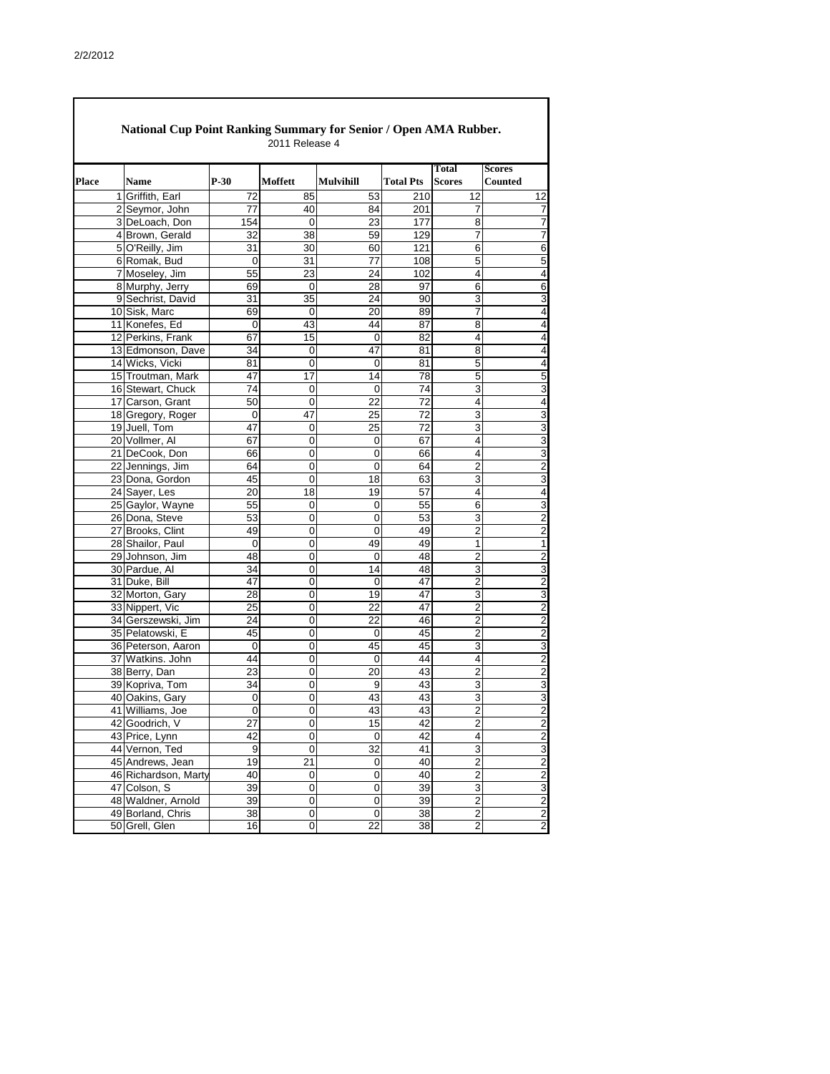| <b>National Cup Point Ranking Summary for Senior / Open AMA Rubber.</b><br>2011 Release 4 |                                |                  |                  |                         |                  |                        |                                 |  |  |  |
|-------------------------------------------------------------------------------------------|--------------------------------|------------------|------------------|-------------------------|------------------|------------------------|---------------------------------|--|--|--|
| <b>Place</b>                                                                              | <b>Name</b>                    | $P-30$           | <b>Moffett</b>   | <b>Mulvihill</b>        | <b>Total Pts</b> | Total<br><b>Scores</b> | <b>Scores</b><br><b>Counted</b> |  |  |  |
|                                                                                           | $\mathbf{1}$<br>Griffith, Earl | 72               | 85               | 53                      | 210              | 12                     | 12                              |  |  |  |
|                                                                                           | $\overline{2}$<br>Seymor, John | 77               | 40               | 84                      | 201              | 7                      | 7                               |  |  |  |
|                                                                                           | 3 DeLoach, Don                 | 154              | $\mathbf 0$      | 23                      | 177              | 8                      | 7                               |  |  |  |
|                                                                                           | 4 Brown, Gerald                | 32               | 38               | 59                      | 129              | 7                      | 7                               |  |  |  |
|                                                                                           | 5 O'Reilly, Jim                | 31               | 30               | 60                      | 121              | 6                      | 6                               |  |  |  |
|                                                                                           | 6 Romak, Bud                   | 0                | 31               | 77                      | 108              | $\overline{5}$         | 5                               |  |  |  |
|                                                                                           | 7 Moseley, Jim                 | 55               | 23               | 24                      | 102              | 4                      | 4                               |  |  |  |
|                                                                                           | 8 Murphy, Jerry                | 69               | $\mathbf 0$      | 28                      | 97               | 6                      | 6                               |  |  |  |
|                                                                                           | 9 Sechrist, David              | 31               | 35               | 24                      | 90               | 3                      | 3                               |  |  |  |
|                                                                                           | 10 Sisk, Marc                  | 69               | $\mathbf 0$      | 20                      | 89               | $\overline{7}$         | 4                               |  |  |  |
|                                                                                           | 11 Konefes, Ed                 | 0                | 43               | 44                      | 87               | 8                      | 4                               |  |  |  |
|                                                                                           | 12 Perkins, Frank              | 67               | 15               | $\mathbf 0$             | 82               | 4                      | 4                               |  |  |  |
|                                                                                           | 13 Edmonson, Dave              | 34               | 0                | 47                      | 81               | 8                      | 4                               |  |  |  |
|                                                                                           | 14 Wicks, Vicki                | 81               | $\mathbf 0$      | 0                       | 81               | $\overline{5}$         | 4                               |  |  |  |
|                                                                                           | 15 Troutman, Mark              | 47               | 17               | 14                      | $\overline{78}$  | 5                      | 5                               |  |  |  |
|                                                                                           | 16 Stewart, Chuck              | 74               | 0                | $\mathbf 0$             | 74               | 3                      | 3                               |  |  |  |
|                                                                                           | 17 Carson, Grant               | 50               | 0                | $\overline{22}$         | $\overline{72}$  | 4                      | 4                               |  |  |  |
|                                                                                           | 18 Gregory, Roger              | 0                | 47               | 25                      | 72               | 3                      | 3                               |  |  |  |
|                                                                                           | 19 Juell, Tom                  | 47               | 0                | 25                      | 72               | $\overline{3}$         | 3                               |  |  |  |
|                                                                                           | 20 Vollmer, Al                 | 67               | $\mathbf 0$      | $\boldsymbol{0}$        | 67               | 4                      | 3                               |  |  |  |
|                                                                                           | 21 DeCook, Don                 | 66               | $\mathbf 0$      | $\mathbf 0$             | 66               | 4                      | 3                               |  |  |  |
|                                                                                           | 22 Jennings, Jim               | 64               | 0                | 0                       | 64               | 2                      | $\overline{c}$                  |  |  |  |
|                                                                                           | 23 Dona, Gordon                | 45               | 0                | 18                      | 63               | 3                      | 3                               |  |  |  |
|                                                                                           | 24 Sayer, Les                  | 20               | 18               | 19                      | 57               | 4                      | 4                               |  |  |  |
|                                                                                           | 25 Gaylor, Wayne               | 55               | 0                | 0                       | 55               | 6                      | 3                               |  |  |  |
|                                                                                           | 26 Dona, Steve                 | 53               | $\mathbf 0$      | 0                       | 53               | 3                      | $\overline{2}$                  |  |  |  |
|                                                                                           | 27 Brooks, Clint               | 49               | $\boldsymbol{0}$ | 0                       | 49               | $\overline{c}$         | $\overline{c}$                  |  |  |  |
|                                                                                           | 28 Shailor, Paul               | 0                | $\mathbf 0$      | 49                      | 49               | 1                      | 1                               |  |  |  |
|                                                                                           | 29 Johnson, Jim                | 48               | $\mathbf 0$      | $\mathbf 0$             | 48               | $\overline{2}$         | $\overline{a}$                  |  |  |  |
|                                                                                           | 30 Pardue, Al                  | 34               | 0                | 14                      | $\overline{48}$  | 3                      | 3                               |  |  |  |
|                                                                                           | 31 Duke, Bill                  | 47               | $\mathbf 0$      | $\boldsymbol{0}$        | 47               | $\overline{c}$         | $\overline{a}$                  |  |  |  |
|                                                                                           | 32 Morton, Gary                | 28               | $\boldsymbol{0}$ | 19                      | 47               | $\overline{3}$         | 3                               |  |  |  |
|                                                                                           | 33 Nippert, Vic                | 25               | $\boldsymbol{0}$ | $\overline{22}$         | 47               | $\overline{2}$         | $\overline{c}$                  |  |  |  |
|                                                                                           | 34 Gerszewski, Jim             | 24               | $\boldsymbol{0}$ | 22                      | 46               | $\overline{2}$         | $\overline{a}$                  |  |  |  |
|                                                                                           | 35 Pelatowski, E               | 45               | $\overline{0}$   | $\boldsymbol{0}$        | 45               | $\overline{c}$         | $\overline{a}$                  |  |  |  |
|                                                                                           | 36 Peterson, Aaron             | $\boldsymbol{0}$ | $\mathbf 0$      | 45                      | 45               | 3                      | 3                               |  |  |  |
|                                                                                           | 37 Watkins. John               | 44               | $\mathbf 0$      | $\pmb{0}$               | 44               | 4                      | $\overline{a}$                  |  |  |  |
|                                                                                           | 38 Berry, Dan                  | 23               | 0                | 20                      | 43               | $\overline{2}$         | $\overline{a}$                  |  |  |  |
|                                                                                           | 39 Kopriva, Tom                | 34               | $\mathbf 0$      | 9                       | 43               | 3                      | 3                               |  |  |  |
|                                                                                           | 40 Oakins, Gary                | 0                | $\boldsymbol{0}$ | 43                      | 43               | 3                      | 3                               |  |  |  |
|                                                                                           | 41 Williams, Joe               | 0                | $\mathbf 0$      | 43                      | 43               | $\overline{2}$         | $\overline{c}$                  |  |  |  |
|                                                                                           | 42 Goodrich, V                 | 27               | $\boldsymbol{0}$ | $\overline{15}$         | $\overline{42}$  | $\overline{2}$         | $\overline{2}$                  |  |  |  |
|                                                                                           | 43 Price, Lynn                 | 42               | $\mathbf 0$      | $\mathbf 0$             | 42               | 4                      | $\overline{c}$                  |  |  |  |
|                                                                                           | 44 Vernon, Ted                 | 9                | $\boldsymbol{0}$ | $\overline{32}$         | 41               | 3                      | 3                               |  |  |  |
|                                                                                           | 45 Andrews, Jean               | 19               | 21               | $\boldsymbol{0}$        | 40               | $\overline{2}$         | $\overline{c}$                  |  |  |  |
|                                                                                           | 46 Richardson, Marty           | 40               | $\boldsymbol{0}$ | $\mathsf{O}\xspace$     | 40               | $\overline{2}$         | $\overline{c}$                  |  |  |  |
|                                                                                           | 47 Colson, S                   | 39               | 0                | $\mathbf 0$             | 39               | 3                      | 3                               |  |  |  |
|                                                                                           | 48 Waldner, Arnold             | 39               | $\mathbf 0$      | 0                       | 39               | $\overline{2}$         | $\overline{c}$                  |  |  |  |
|                                                                                           | 49 Borland, Chris              | 38               | $\mathbf 0$      | $\overline{\mathsf{o}}$ | $\overline{38}$  | $\overline{2}$         | $\overline{a}$                  |  |  |  |
|                                                                                           | 50 Grell, Glen                 | 16               | 0                | $\overline{22}$         | 38               | $\overline{c}$         | $\overline{2}$                  |  |  |  |
|                                                                                           |                                |                  |                  |                         |                  |                        |                                 |  |  |  |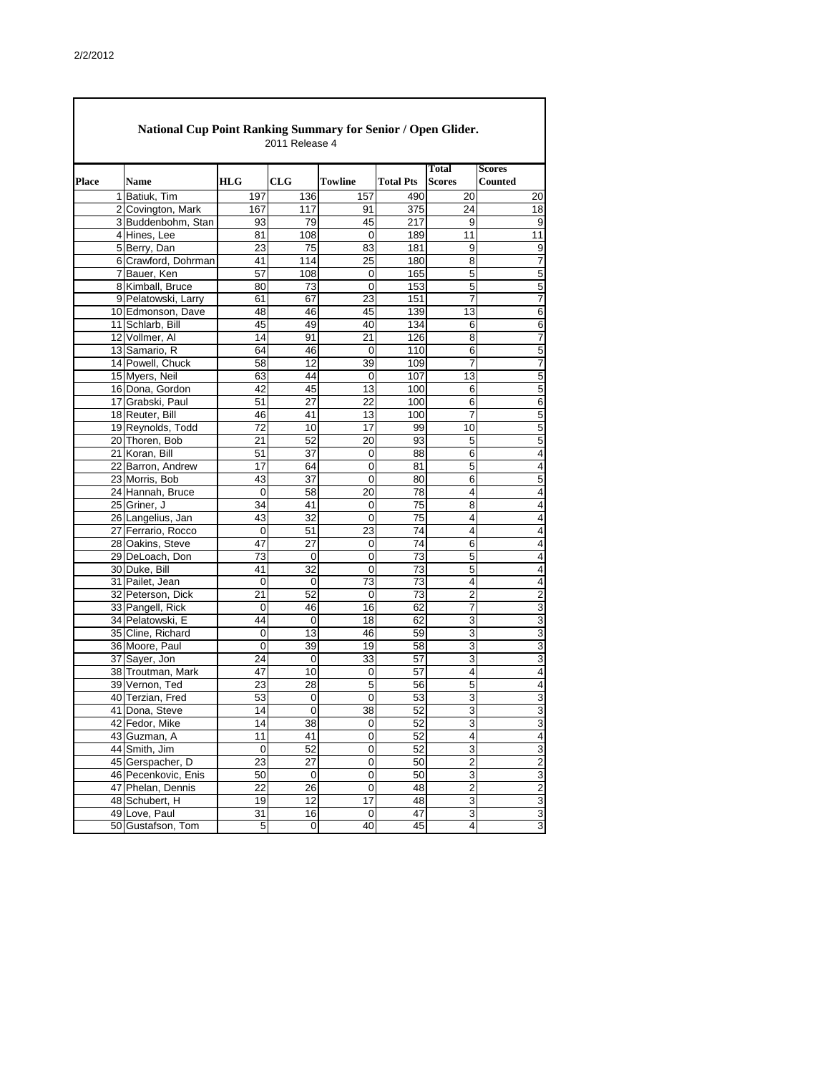|              | <b>National Cup Point Ranking Summary for Senior / Open Glider.</b><br>2011 Release 4 |                       |                     |                               |                  |                                    |                                  |  |  |  |  |  |
|--------------|---------------------------------------------------------------------------------------|-----------------------|---------------------|-------------------------------|------------------|------------------------------------|----------------------------------|--|--|--|--|--|
| <b>Place</b> | <b>Name</b>                                                                           | <b>HLG</b>            | <b>CLG</b>          | <b>Towline</b>                | <b>Total Pts</b> | Total<br><b>Scores</b>             | <b>Scores</b><br><b>Counted</b>  |  |  |  |  |  |
|              | 1 Batiuk, Tim                                                                         | 197                   | 136                 | 157                           | 490              | 20                                 | 20                               |  |  |  |  |  |
|              | 2 Covington, Mark                                                                     | 167                   | 117                 | 91                            | 375              | 24                                 | 18                               |  |  |  |  |  |
|              | 3 Buddenbohm, Stan                                                                    | 93                    | 79                  | 45                            | 217              | 9                                  | 9                                |  |  |  |  |  |
|              | 4 Hines, Lee                                                                          | 81                    | 108                 | $\overline{0}$                | 189              | $\overline{11}$                    | 11                               |  |  |  |  |  |
|              | 5 Berry, Dan                                                                          | 23                    | 75                  | 83                            | 181              | 9                                  | 9                                |  |  |  |  |  |
|              | 6 Crawford, Dohrman                                                                   | 41                    | 114                 | 25                            | 180              | 8                                  | $\overline{7}$                   |  |  |  |  |  |
|              | 7 Bauer, Ken                                                                          | 57                    | 108                 | 0                             | 165              | 5                                  | 5                                |  |  |  |  |  |
|              | 8 Kimball, Bruce                                                                      | 80                    | 73                  | $\mathbf 0$                   | 153              | $\overline{5}$                     | $\overline{5}$                   |  |  |  |  |  |
|              | 9 Pelatowski, Larry                                                                   | 61                    | 67                  | 23                            | 151              | 7                                  | $\overline{7}$                   |  |  |  |  |  |
|              | 10 Edmonson, Dave                                                                     | 48                    | 46                  | 45                            | 139              | 13                                 | 6                                |  |  |  |  |  |
|              | 11 Schlarb, Bill                                                                      | 45                    | 49                  | 40                            | 134              | 6                                  | 6                                |  |  |  |  |  |
|              | 12 Vollmer, Al                                                                        | 14                    | 91                  | 21                            | 126              | 8                                  | $\overline{7}$                   |  |  |  |  |  |
|              | 13 Samario, R                                                                         | 64                    | 46                  | $\Omega$                      | 110              | 6                                  | 5                                |  |  |  |  |  |
|              | 14 Powell, Chuck                                                                      | 58                    | $\overline{12}$     | 39                            | 109              | 7                                  | $\overline{7}$                   |  |  |  |  |  |
|              | 15 Myers, Neil                                                                        | 63                    | 44                  | 0                             | 107              | 13                                 | 5                                |  |  |  |  |  |
|              | 16 Dona, Gordon                                                                       | 42                    | 45                  | 13                            | 100              | 6                                  | 5                                |  |  |  |  |  |
|              | 17 Grabski, Paul                                                                      | 51                    | $\overline{27}$     | 22                            | 100              | 6                                  | 6                                |  |  |  |  |  |
|              | 18 Reuter, Bill                                                                       | 46                    | 41                  | 13                            | 100              | 7                                  | $\overline{5}$                   |  |  |  |  |  |
|              | 19 Reynolds, Todd                                                                     | 72                    | $\overline{10}$     | $\overline{17}$               | 99               | 10                                 | $\overline{5}$                   |  |  |  |  |  |
|              | 20 Thoren, Bob                                                                        | 21                    | 52                  | 20                            | 93               | 5                                  | $\overline{5}$                   |  |  |  |  |  |
|              | 21 Koran, Bill                                                                        | 51                    | $\overline{37}$     | 0                             | 88               | 6                                  | 4                                |  |  |  |  |  |
|              | 22 Barron, Andrew                                                                     | 17                    | 64                  | $\mathbf 0$                   | 81               | $\overline{5}$                     | 4                                |  |  |  |  |  |
|              | 23 Morris, Bob                                                                        | 43                    | 37                  | $\mathbf 0$                   | 80               | 6                                  | 5                                |  |  |  |  |  |
|              | 24 Hannah, Bruce                                                                      | $\mathbf 0$           | 58                  | 20                            | 78               | 4                                  | 4                                |  |  |  |  |  |
|              | 25 Griner, J                                                                          | 34                    | 41                  | $\mathbf 0$                   | 75               | 8                                  | 4                                |  |  |  |  |  |
|              | 26 Langelius, Jan                                                                     | 43                    | 32                  | $\overline{0}$                | $\overline{75}$  | 4                                  | 4                                |  |  |  |  |  |
|              | 27 Ferrario, Rocco                                                                    | $\boldsymbol{0}$      | 51                  | 23                            | 74               | $\overline{\mathbf{4}}$            | $\overline{4}$                   |  |  |  |  |  |
|              | 28 Oakins, Steve                                                                      | 47                    | 27                  | $\mathbf 0$                   | 74               | 6                                  | 4                                |  |  |  |  |  |
|              | 29 DeLoach, Don                                                                       | 73                    | 0                   | $\mathbf 0$                   | $\overline{73}$  | $\overline{5}$                     | 4                                |  |  |  |  |  |
|              | 30 Duke, Bill                                                                         | 41                    | $\overline{32}$     | 0                             | 73               | b                                  | 4                                |  |  |  |  |  |
|              | 31 Pailet, Jean                                                                       | $\boldsymbol{0}$      | $\boldsymbol{0}$    | $\overline{73}$               | $\overline{73}$  | $\overline{\mathbf{4}}$            | 4                                |  |  |  |  |  |
|              | 32 Peterson, Dick                                                                     | 21                    | 52                  | $\mathbf 0$                   | 73               | $\overline{c}$                     | $\overline{c}$                   |  |  |  |  |  |
|              | 33 Pangell, Rick                                                                      | $\pmb{0}$             | 46                  | $\overline{16}$               | 62               | $\overline{7}$                     | $\overline{3}$                   |  |  |  |  |  |
|              | 34 Pelatowski, E                                                                      | 44                    | 0                   | 18                            | 62               | 3                                  | 3                                |  |  |  |  |  |
|              | 35 Cline, Richard                                                                     | 0                     | $\overline{13}$     | 46                            | 59               | $\overline{3}$                     | $\overline{3}$                   |  |  |  |  |  |
|              | 36 Moore, Paul                                                                        | $\pmb{0}$             | 39                  | 19                            | 58               | $\overline{3}$                     | $\overline{3}$                   |  |  |  |  |  |
|              | 37 Sayer, Jon                                                                         | 24                    | 0                   | 33                            | 57               | 3                                  | 3                                |  |  |  |  |  |
|              | 38 Troutman, Mark                                                                     | 47                    | 10                  | $\mathbf 0$                   | 57               | 4                                  | $\overline{\mathcal{A}}$         |  |  |  |  |  |
|              | 39 Vernon, Ted                                                                        | 23                    | 28                  | 5                             | 56               | 5                                  | 4                                |  |  |  |  |  |
|              | 40 Terzian, Fred                                                                      | 53                    | 0                   | $\mathbf 0$                   | 53               | 3                                  | 3                                |  |  |  |  |  |
|              | 41 Dona, Steve                                                                        | 14                    | $\boldsymbol{0}$    | $\overline{38}$               | $\overline{52}$  | 3                                  | 3                                |  |  |  |  |  |
|              | 42 Fedor, Mike                                                                        | $\overline{14}$       | $\overline{38}$     | $\pmb{0}$                     | 52               | $\overline{3}$                     | $\overline{3}$                   |  |  |  |  |  |
|              | 43 Guzman, A                                                                          | 11                    | 41                  | $\mathbf 0$                   | 52               | $\overline{\mathbf{4}}$            | $\overline{\mathcal{A}}$         |  |  |  |  |  |
|              | 44 Smith, Jim                                                                         | $\boldsymbol{0}$      | 52                  | $\mathbf 0$                   | 52               | 3                                  | 3                                |  |  |  |  |  |
|              | 45 Gerspacher, D                                                                      | 23<br>$\overline{50}$ | 27<br>$\mathbf 0$   | $\mathbf 0$<br>$\overline{0}$ | 50<br>50         | $\overline{2}$<br>$\overline{3}$   | $\overline{2}$<br>$\overline{3}$ |  |  |  |  |  |
|              | 46 Pecenkovic, Enis                                                                   | 22                    |                     | $\mathbf 0$                   |                  |                                    |                                  |  |  |  |  |  |
|              | 47 Phelan, Dennis                                                                     | 19                    | 26<br>12            | $\overline{17}$               | 48<br>48         | $\boldsymbol{2}$<br>$\overline{3}$ | $\overline{2}$<br>3              |  |  |  |  |  |
|              | 48 Schubert, H<br>49 Love, Paul                                                       | 31                    | 16                  | $\boldsymbol{0}$              | 47               | $\overline{3}$                     | 3                                |  |  |  |  |  |
|              | 50 Gustafson, Tom                                                                     | $\mathbf 5$           | $\mathsf{O}\xspace$ | $\overline{40}$               | 45               | $\overline{\mathbf{4}}$            | $\overline{3}$                   |  |  |  |  |  |
|              |                                                                                       |                       |                     |                               |                  |                                    |                                  |  |  |  |  |  |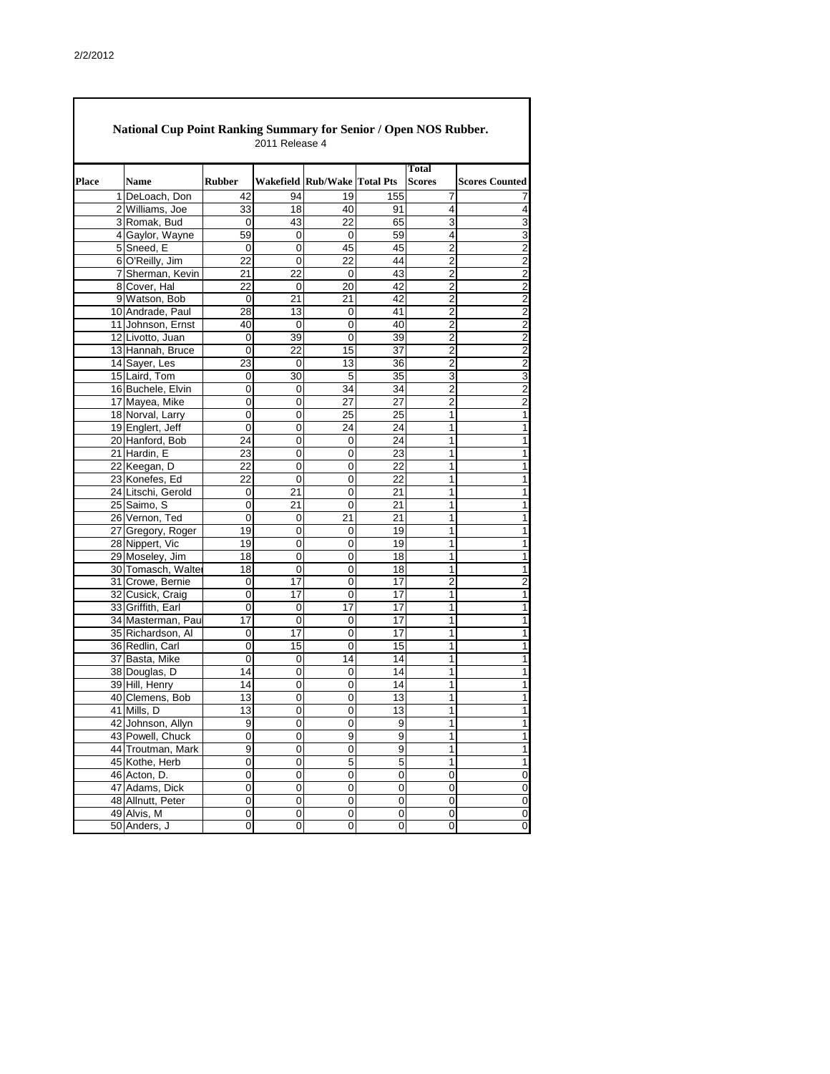Ī

|              | <b>National Cup Point Ranking Summary for Senior / Open NOS Rubber.</b> |                     | 2011 Release 4    |                              |                         |                         |                       |
|--------------|-------------------------------------------------------------------------|---------------------|-------------------|------------------------------|-------------------------|-------------------------|-----------------------|
| <b>Place</b> | <b>Name</b>                                                             | <b>Rubber</b>       |                   | Wakefield Rub/Wake Total Pts |                         | Total<br><b>Scores</b>  | <b>Scores Counted</b> |
|              | 1 DeLoach, Don                                                          | 42                  | 94                | 19                           | 155                     | 7                       |                       |
|              | 2 Williams, Joe                                                         | 33                  | 18                | 40                           | 91                      | 4                       | 4                     |
|              | 3 Romak, Bud                                                            | 0                   | 43                | 22                           | 65                      | $\overline{3}$          | $\overline{3}$        |
|              | 4 Gaylor, Wayne                                                         | 59                  | $\boldsymbol{0}$  | 0                            | 59                      | $\overline{\mathbf{4}}$ | $\overline{3}$        |
|              | 5 Sneed, E                                                              | 0                   | 0                 | 45                           | 45                      | $\overline{2}$          | $\overline{2}$        |
|              | 6 O'Reilly, Jim                                                         | 22                  | 0                 | 22                           | 44                      | $\overline{2}$          | $\overline{2}$        |
|              | 7 Sherman, Kevin                                                        | 21                  | 22                | $\boldsymbol{0}$             | 43                      | $\overline{2}$          | $\overline{2}$        |
|              | 8 Cover, Hal                                                            | 22                  | $\mathbf 0$       | 20                           | 42                      | $\overline{2}$          | $\overline{2}$        |
|              | 9 Watson, Bob                                                           | 0                   | 21                | 21                           | 42                      | $\overline{2}$          | $\overline{2}$        |
|              | 10 Andrade, Paul                                                        | 28                  | 13                | 0                            | 41                      | $\overline{2}$          | $\overline{2}$        |
|              | 11 Johnson, Ernst                                                       | 40                  | $\mathbf 0$       | $\mathbf 0$                  | 40                      | $\overline{2}$          | $\overline{2}$        |
|              | 12 Livotto, Juan                                                        | $\boldsymbol{0}$    | 39                | $\mathbf 0$                  | 39                      | $\overline{2}$          | $\overline{2}$        |
|              | 13 Hannah, Bruce                                                        | $\mathbf 0$         | 22                | 15                           | 37                      | $\overline{2}$          | $\overline{2}$        |
|              | 14 Sayer, Les                                                           | 23                  | $\Omega$          | 13                           | 36                      | $\overline{2}$          | $\overline{2}$        |
|              | 15 Laird, Tom                                                           | 0                   | 30                | $\overline{5}$               | 35                      | 3                       | ω                     |
|              | 16 Buchele, Elvin                                                       | 0                   | 0                 | 34                           | 34                      | $\overline{2}$          | $\overline{2}$        |
|              | 17 Mayea, Mike                                                          | 0                   | 0                 | 27                           | 27                      | $\overline{2}$          | $\overline{2}$        |
|              | 18 Norval, Larry                                                        | $\mathbf 0$         | $\mathbf 0$       | 25                           | 25                      | 1                       | 1                     |
|              | 19 Englert, Jeff                                                        | 0                   | 0                 | 24                           | 24                      | 1                       | 1                     |
|              | 20 Hanford, Bob                                                         | 24                  | 0                 | 0                            | 24                      | 1                       | 1                     |
|              | 21 Hardin, E                                                            | 23                  | $\mathbf 0$       | $\boldsymbol{0}$             | 23                      | 1                       | 1                     |
|              | 22 Keegan, D                                                            | 22                  | 0                 | 0                            | 22                      | 1                       | 1                     |
|              | 23 Konefes, Ed                                                          | 22                  | $\mathbf 0$       | 0                            | 22                      | 1                       | 1                     |
|              | 24 Litschi, Gerold                                                      | $\mathbf 0$         | 21                | 0                            | 21                      | 1                       | 1                     |
|              | 25 Saimo, S                                                             | $\mathbf 0$         | 21                | $\mathbf 0$                  | 21                      | 1                       | 1                     |
|              | 26 Vernon, Ted                                                          | 0                   | $\mathbf 0$       | 21                           | 21                      | 1                       | 1                     |
|              | 27 Gregory, Roger                                                       | 19                  | $\mathbf 0$       | 0                            | 19                      | 1                       | 1                     |
|              | 28 Nippert, Vic                                                         | 19                  | $\boldsymbol{0}$  | 0                            | 19                      | 1                       | 1                     |
|              | 29 Moseley, Jim                                                         | 18                  | 0                 | 0                            | 18                      | 1                       | 1                     |
|              | 30 Tomasch, Walter                                                      | 18                  | U                 | 0                            | 18                      | 1                       | 1                     |
|              | 31 Crowe, Bernie                                                        | 0                   | $\overline{17}$   | $\overline{0}$               | $\overline{17}$         | $\overline{2}$          | $\overline{2}$        |
|              | 32 Cusick, Craig                                                        | 0                   | 17                | $\mathbf 0$                  | 17                      | 1                       | 1                     |
|              | 33 Griffith, Earl                                                       | 0                   | 0                 | 17                           | 17                      | 1                       | 1                     |
|              | 34 Masterman, Paul                                                      | 17                  | $\mathbf 0$       | $\mathbf 0$                  | 17<br>17                | 1                       | 1                     |
|              | 35 Richardson, Al                                                       | 0                   | 17                | $\mathbf 0$<br>$\mathbf 0$   |                         | 1                       | 1                     |
|              | 36 Redlin, Carl                                                         | 0<br>$\overline{0}$ | 15<br>$\mathbf 0$ | 14                           | 15<br>14                | 1<br>1                  | 1<br>1                |
|              | 37 Basta, Mike<br>38 Douglas, D                                         | 14                  | $\mathbf 0$       | 0                            | 14                      | 1                       | 1                     |
|              | 39 Hill, Henry                                                          | 14                  | 0                 | 0                            | 14                      | 1                       | 1                     |
|              | 40 Clemens, Bob                                                         | 13                  | $\mathsf 0$       | 0                            | $\overline{13}$         | 1                       | 1                     |
|              | 41 Mills, D                                                             | 13                  | 0                 | 0                            | 13                      | 1                       | 1                     |
|              | 42 Johnson, Allyn                                                       | 9                   | 0                 | $\mathbf 0$                  | 9                       | 1                       | 1                     |
|              | 43 Powell, Chuck                                                        | $\boldsymbol{0}$    | 0                 | $\boldsymbol{9}$             | 9                       | 1                       | 1                     |
|              | 44 Troutman, Mark                                                       | 9                   | 0                 | $\mathbf 0$                  | 9                       | 1                       | 1                     |
|              | 45 Kothe, Herb                                                          | 0                   | 0                 | $\overline{5}$               | $\overline{5}$          | 1                       | 1                     |
|              | 46 Acton, D.                                                            | 0                   | 0                 | $\boldsymbol{0}$             | 0                       | 0                       | $\mathbf 0$           |
|              | 47 Adams, Dick                                                          | 0                   | $\mathbf 0$       | $\mathbf 0$                  | 0                       | 0                       | $\mathbf 0$           |
|              | 48 Allnutt, Peter                                                       | 0                   | 0                 | $\mathbf 0$                  | 0                       | $\mathsf{O}\xspace$     | $\overline{0}$        |
|              | 49 Alvis, M                                                             | $\mathbf 0$         | 0                 | $\pmb{0}$                    | $\mathsf 0$             | $\mathsf{O}\xspace$     | $\overline{0}$        |
|              | 50 Anders, J                                                            | 0                   | 0                 | $\pmb{0}$                    | $\overline{\mathsf{o}}$ | $\mathsf{O}\xspace$     | $\overline{0}$        |